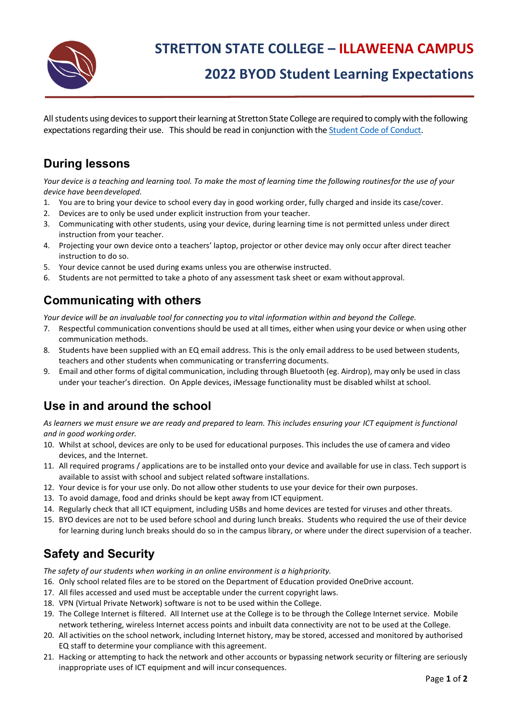

# **2022 BYOD Student Learning Expectations**

All students using devices to support their learning at Stretton State College are required to comply with the following expectations regarding their use. This should be read in conjunction with the [Student Code of Conduct.](https://strettonsc.eq.edu.au/SupportAndResources/FormsAndDocuments/Documents/Student%20Code%20of%20Conduct%202020%20-%202023.pdf)

#### **During lessons**

*Your device is a teaching and learning tool. To make the most of learning time the following routinesfor the use of your device have beendeveloped.*

- 1. You are to bring your device to school every day in good working order, fully charged and inside its case/cover.
- 2. Devices are to only be used under explicit instruction from your teacher.
- 3. Communicating with other students, using your device, during learning time is not permitted unless under direct instruction from your teacher.
- 4. Projecting your own device onto a teachers' laptop, projector or other device may only occur after direct teacher instruction to do so.
- 5. Your device cannot be used during exams unless you are otherwise instructed.
- 6. Students are not permitted to take a photo of any assessment task sheet or exam without approval.

## **Communicating with others**

*Your device will be an invaluable tool for connecting you to vital information within and beyond the College.*

- 7. Respectful communication conventions should be used at all times, either when using your device or when using other communication methods.
- 8. Students have been supplied with an EQ email address. This is the only email address to be used between students, teachers and other students when communicating or transferring documents.
- 9. Email and other forms of digital communication, including through Bluetooth (eg. Airdrop), may only be used in class under your teacher's direction. On Apple devices, iMessage functionality must be disabled whilst at school.

## **Use in and around the school**

*As learners we must ensure we are ready and prepared to learn. This includes ensuring your ICT equipment is functional and in good working order.*

- 10. Whilst at school, devices are only to be used for educational purposes. This includes the use of camera and video devices, and the Internet.
- 11. All required programs / applications are to be installed onto your device and available for use in class. Tech support is available to assist with school and subject related software installations.
- 12. Your device is for your use only. Do not allow other students to use your device for their own purposes.
- 13. To avoid damage, food and drinks should be kept away from ICT equipment.
- 14. Regularly check that all ICT equipment, including USBs and home devices are tested for viruses and other threats.
- 15. BYO devices are not to be used before school and during lunch breaks. Students who required the use of their device for learning during lunch breaks should do so in the campus library, or where under the direct supervision of a teacher.

## **Safety and Security**

*The safety of our students when working in an online environment is a highpriority.* 

- 16. Only school related files are to be stored on the Department of Education provided OneDrive account.
- 17. All files accessed and used must be acceptable under the current copyright laws.
- 18. VPN (Virtual Private Network) software is not to be used within the College.
- 19. The College Internet is filtered. All Internet use at the College is to be through the College Internet service. Mobile network tethering, wireless Internet access points and inbuilt data connectivity are not to be used at the College.
- 20. All activities on the school network, including Internet history, may be stored, accessed and monitored by authorised EQ staff to determine your compliance with this agreement.
- 21. Hacking or attempting to hack the network and other accounts or bypassing network security or filtering are seriously inappropriate uses of ICT equipment and will incur consequences.